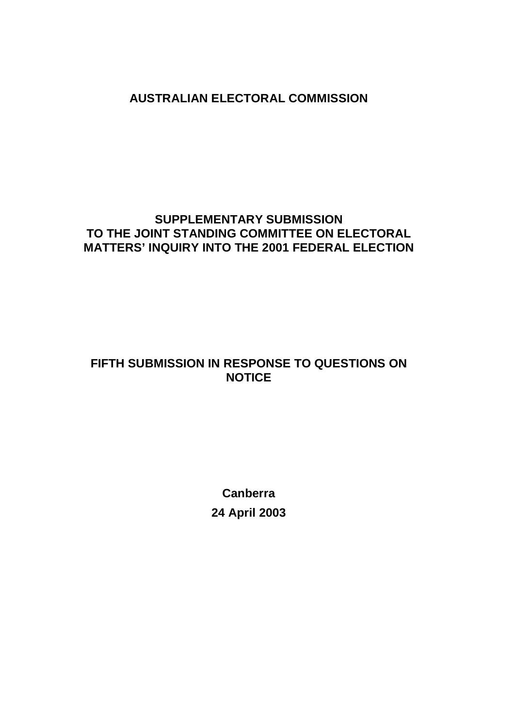**AUSTRALIAN ELECTORAL COMMISSION** 

# **SUPPLEMENTARY SUBMISSION TO THE JOINT STANDING COMMITTEE ON ELECTORAL MATTERS' INQUIRY INTO THE 2001 FEDERAL ELECTION**

# **FIFTH SUBMISSION IN RESPONSE TO QUESTIONS ON NOTICE**

**Canberra 24 April 2003**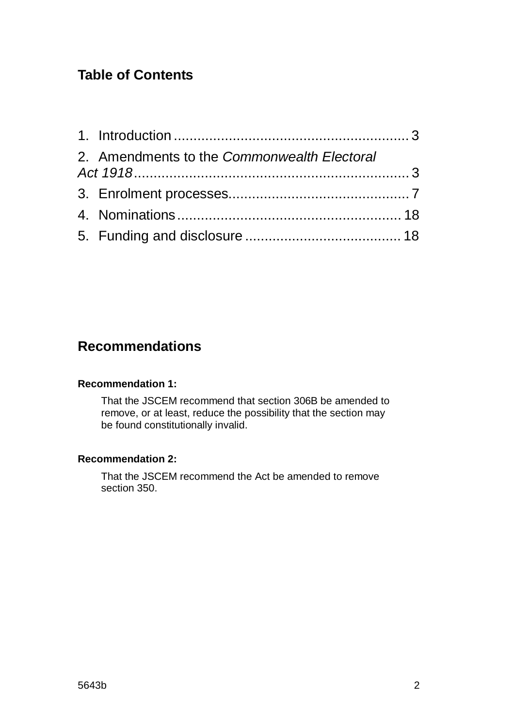# **Table of Contents**

| 2. Amendments to the Commonwealth Electoral |  |
|---------------------------------------------|--|
|                                             |  |
|                                             |  |
|                                             |  |

# **Recommendations**

#### **Recommendation 1:**

That the JSCEM recommend that section 306B be amended to remove, or at least, reduce the possibility that the section may be found constitutionally invalid.

#### **Recommendation 2:**

That the JSCEM recommend the Act be amended to remove section 350.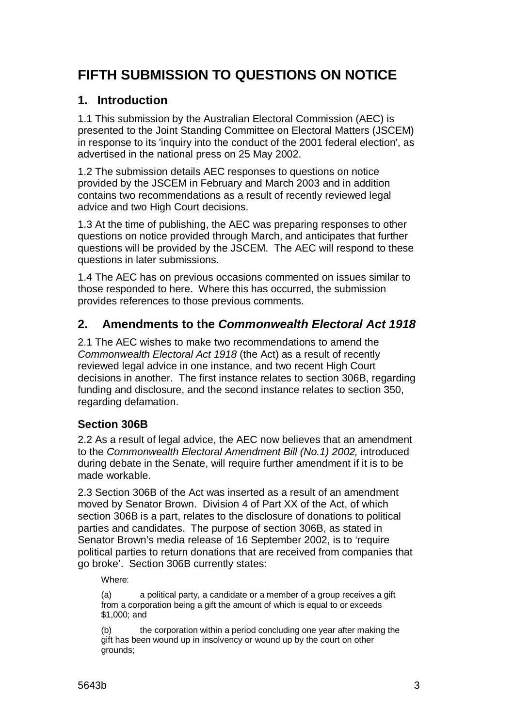# **FIFTH SUBMISSION TO QUESTIONS ON NOTICE**

## **1. Introduction**

1.1 This submission by the Australian Electoral Commission (AEC) is presented to the Joint Standing Committee on Electoral Matters (JSCEM) in response to its 'inquiry into the conduct of the 2001 federal election', as advertised in the national press on 25 May 2002.

1.2 The submission details AEC responses to questions on notice provided by the JSCEM in February and March 2003 and in addition contains two recommendations as a result of recently reviewed legal advice and two High Court decisions.

1.3 At the time of publishing, the AEC was preparing responses to other questions on notice provided through March, and anticipates that further questions will be provided by the JSCEM. The AEC will respond to these questions in later submissions.

1.4 The AEC has on previous occasions commented on issues similar to those responded to here. Where this has occurred, the submission provides references to those previous comments.

# **2. Amendments to the Commonwealth Electoral Act 1918**

2.1 The AEC wishes to make two recommendations to amend the Commonwealth Electoral Act 1918 (the Act) as a result of recently reviewed legal advice in one instance, and two recent High Court decisions in another. The first instance relates to section 306B, regarding funding and disclosure, and the second instance relates to section 350, regarding defamation.

## **Section 306B**

2.2 As a result of legal advice, the AEC now believes that an amendment to the Commonwealth Electoral Amendment Bill (No.1) 2002, introduced during debate in the Senate, will require further amendment if it is to be made workable.

2.3 Section 306B of the Act was inserted as a result of an amendment moved by Senator Brown. Division 4 of Part XX of the Act, of which section 306B is a part, relates to the disclosure of donations to political parties and candidates. The purpose of section 306B, as stated in Senator Brown's media release of 16 September 2002, is to 'require political parties to return donations that are received from companies that go broke'. Section 306B currently states:

Where:

(a) a political party, a candidate or a member of a group receives a gift from a corporation being a gift the amount of which is equal to or exceeds \$1,000; and

(b) the corporation within a period concluding one year after making the gift has been wound up in insolvency or wound up by the court on other grounds;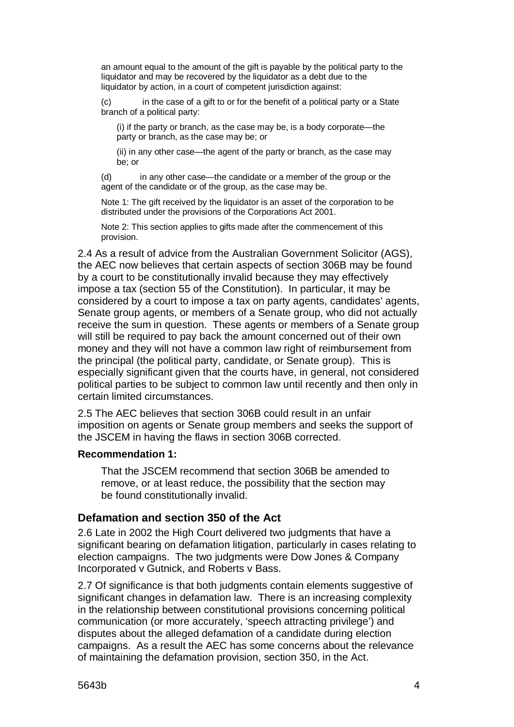an amount equal to the amount of the gift is payable by the political party to the liquidator and may be recovered by the liquidator as a debt due to the liquidator by action, in a court of competent jurisdiction against:

(c) in the case of a gift to or for the benefit of a political party or a State branch of a political party:

(i) if the party or branch, as the case may be, is a body corporate—the party or branch, as the case may be; or

(ii) in any other case—the agent of the party or branch, as the case may be; or

(d) in any other case—the candidate or a member of the group or the agent of the candidate or of the group, as the case may be.

Note 1: The gift received by the liquidator is an asset of the corporation to be distributed under the provisions of the Corporations Act 2001.

Note 2: This section applies to gifts made after the commencement of this provision.

2.4 As a result of advice from the Australian Government Solicitor (AGS), the AEC now believes that certain aspects of section 306B may be found by a court to be constitutionally invalid because they may effectively impose a tax (section 55 of the Constitution). In particular, it may be considered by a court to impose a tax on party agents, candidates' agents, Senate group agents, or members of a Senate group, who did not actually receive the sum in question. These agents or members of a Senate group will still be required to pay back the amount concerned out of their own money and they will not have a common law right of reimbursement from the principal (the political party, candidate, or Senate group). This is especially significant given that the courts have, in general, not considered political parties to be subject to common law until recently and then only in certain limited circumstances.

2.5 The AEC believes that section 306B could result in an unfair imposition on agents or Senate group members and seeks the support of the JSCEM in having the flaws in section 306B corrected.

#### **Recommendation 1:**

That the JSCEM recommend that section 306B be amended to remove, or at least reduce, the possibility that the section may be found constitutionally invalid.

#### **Defamation and section 350 of the Act**

2.6 Late in 2002 the High Court delivered two judgments that have a significant bearing on defamation litigation, particularly in cases relating to election campaigns. The two judgments were Dow Jones & Company Incorporated v Gutnick, and Roberts v Bass.

2.7 Of significance is that both judgments contain elements suggestive of significant changes in defamation law. There is an increasing complexity in the relationship between constitutional provisions concerning political communication (or more accurately, 'speech attracting privilege') and disputes about the alleged defamation of a candidate during election campaigns. As a result the AEC has some concerns about the relevance of maintaining the defamation provision, section 350, in the Act.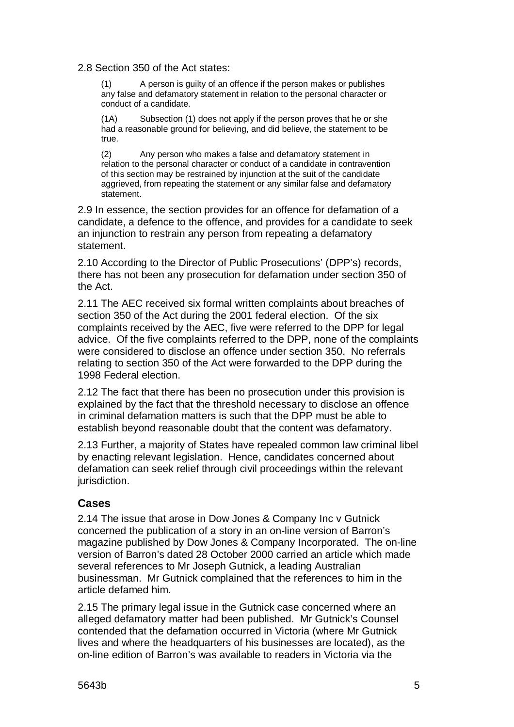2.8 Section 350 of the Act states:

(1) A person is guilty of an offence if the person makes or publishes any false and defamatory statement in relation to the personal character or conduct of a candidate.

(1A) Subsection (1) does not apply if the person proves that he or she had a reasonable ground for believing, and did believe, the statement to be true.

(2) Any person who makes a false and defamatory statement in relation to the personal character or conduct of a candidate in contravention of this section may be restrained by injunction at the suit of the candidate aggrieved, from repeating the statement or any similar false and defamatory statement.

2.9 In essence, the section provides for an offence for defamation of a candidate, a defence to the offence, and provides for a candidate to seek an injunction to restrain any person from repeating a defamatory statement.

2.10 According to the Director of Public Prosecutions' (DPP's) records, there has not been any prosecution for defamation under section 350 of the Act.

2.11 The AEC received six formal written complaints about breaches of section 350 of the Act during the 2001 federal election. Of the six complaints received by the AEC, five were referred to the DPP for legal advice. Of the five complaints referred to the DPP, none of the complaints were considered to disclose an offence under section 350. No referrals relating to section 350 of the Act were forwarded to the DPP during the 1998 Federal election.

2.12 The fact that there has been no prosecution under this provision is explained by the fact that the threshold necessary to disclose an offence in criminal defamation matters is such that the DPP must be able to establish beyond reasonable doubt that the content was defamatory.

2.13 Further, a majority of States have repealed common law criminal libel by enacting relevant legislation. Hence, candidates concerned about defamation can seek relief through civil proceedings within the relevant jurisdiction.

#### **Cases**

2.14 The issue that arose in Dow Jones & Company Inc v Gutnick concerned the publication of a story in an on-line version of Barron's magazine published by Dow Jones & Company Incorporated. The on-line version of Barron's dated 28 October 2000 carried an article which made several references to Mr Joseph Gutnick, a leading Australian businessman. Mr Gutnick complained that the references to him in the article defamed him.

2.15 The primary legal issue in the Gutnick case concerned where an alleged defamatory matter had been published. Mr Gutnick's Counsel contended that the defamation occurred in Victoria (where Mr Gutnick lives and where the headquarters of his businesses are located), as the on-line edition of Barron's was available to readers in Victoria via the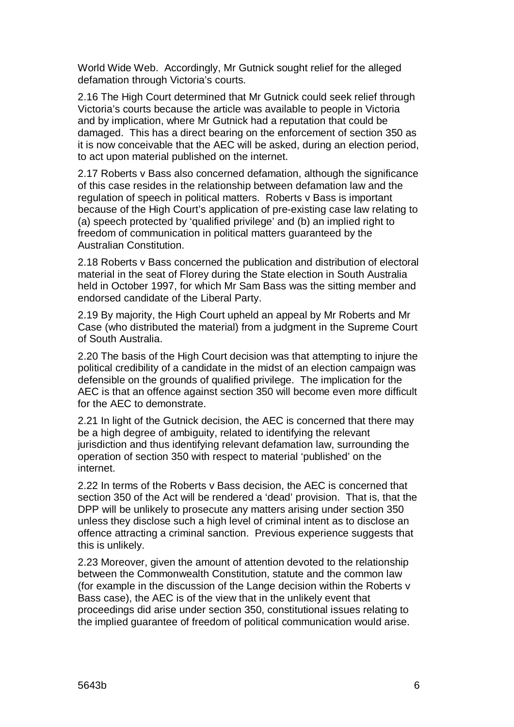World Wide Web. Accordingly, Mr Gutnick sought relief for the alleged defamation through Victoria's courts.

2.16 The High Court determined that Mr Gutnick could seek relief through Victoria's courts because the article was available to people in Victoria and by implication, where Mr Gutnick had a reputation that could be damaged. This has a direct bearing on the enforcement of section 350 as it is now conceivable that the AEC will be asked, during an election period, to act upon material published on the internet.

2.17 Roberts v Bass also concerned defamation, although the significance of this case resides in the relationship between defamation law and the regulation of speech in political matters. Roberts v Bass is important because of the High Court's application of pre-existing case law relating to (a) speech protected by 'qualified privilege' and (b) an implied right to freedom of communication in political matters guaranteed by the Australian Constitution.

2.18 Roberts v Bass concerned the publication and distribution of electoral material in the seat of Florey during the State election in South Australia held in October 1997, for which Mr Sam Bass was the sitting member and endorsed candidate of the Liberal Party.

2.19 By majority, the High Court upheld an appeal by Mr Roberts and Mr Case (who distributed the material) from a judgment in the Supreme Court of South Australia.

2.20 The basis of the High Court decision was that attempting to injure the political credibility of a candidate in the midst of an election campaign was defensible on the grounds of qualified privilege. The implication for the AEC is that an offence against section 350 will become even more difficult for the AEC to demonstrate.

2.21 In light of the Gutnick decision, the AEC is concerned that there may be a high degree of ambiguity, related to identifying the relevant jurisdiction and thus identifying relevant defamation law, surrounding the operation of section 350 with respect to material 'published' on the internet.

2.22 In terms of the Roberts v Bass decision, the AEC is concerned that section 350 of the Act will be rendered a 'dead' provision. That is, that the DPP will be unlikely to prosecute any matters arising under section 350 unless they disclose such a high level of criminal intent as to disclose an offence attracting a criminal sanction. Previous experience suggests that this is unlikely.

2.23 Moreover, given the amount of attention devoted to the relationship between the Commonwealth Constitution, statute and the common law (for example in the discussion of the Lange decision within the Roberts v Bass case), the AEC is of the view that in the unlikely event that proceedings did arise under section 350, constitutional issues relating to the implied guarantee of freedom of political communication would arise.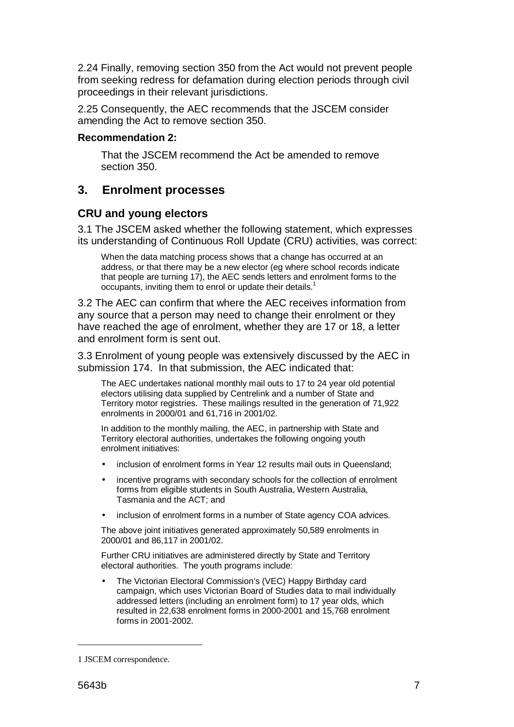2.24 Finally, removing section 350 from the Act would not prevent people from seeking redress for defamation during election periods through civil proceedings in their relevant jurisdictions.

2.25 Consequently, the AEC recommends that the JSCEM consider amending the Act to remove section 350.

#### **Recommendation 2:**

That the JSCEM recommend the Act be amended to remove section 350.

## **3. Enrolment processes**

#### **CRU and young electors**

3.1 The JSCEM asked whether the following statement, which expresses its understanding of Continuous Roll Update (CRU) activities, was correct:

When the data matching process shows that a change has occurred at an address, or that there may be a new elector (eg where school records indicate that people are turning 17), the AEC sends letters and enrolment forms to the occupants, inviting them to enrol or update their details.<sup>1</sup>

3.2 The AEC can confirm that where the AEC receives information from any source that a person may need to change their enrolment or they have reached the age of enrolment, whether they are 17 or 18, a letter and enrolment form is sent out.

3.3 Enrolment of young people was extensively discussed by the AEC in submission 174. In that submission, the AEC indicated that:

The AEC undertakes national monthly mail outs to 17 to 24 year old potential electors utilising data supplied by Centrelink and a number of State and Territory motor registries. These mailings resulted in the generation of 71,922 enrolments in 2000/01 and 61,716 in 2001/02.

In addition to the monthly mailing, the AEC, in partnership with State and Territory electoral authorities, undertakes the following ongoing youth enrolment initiatives:

- inclusion of enrolment forms in Year 12 results mail outs in Queensland;
- incentive programs with secondary schools for the collection of enrolment forms from eligible students in South Australia, Western Australia, Tasmania and the ACT; and
- inclusion of enrolment forms in a number of State agency COA advices.

The above joint initiatives generated approximately 50,589 enrolments in 2000/01 and 86,117 in 2001/02.

Further CRU initiatives are administered directly by State and Territory electoral authorities. The youth programs include:

• The Victorian Electoral Commission's (VEC) Happy Birthday card campaign, which uses Victorian Board of Studies data to mail individually addressed letters (including an enrolment form) to 17 year olds, which resulted in 22,638 enrolment forms in 2000-2001 and 15,768 enrolment forms in 2001-2002.

<sup>1</sup> JSCEM correspondence.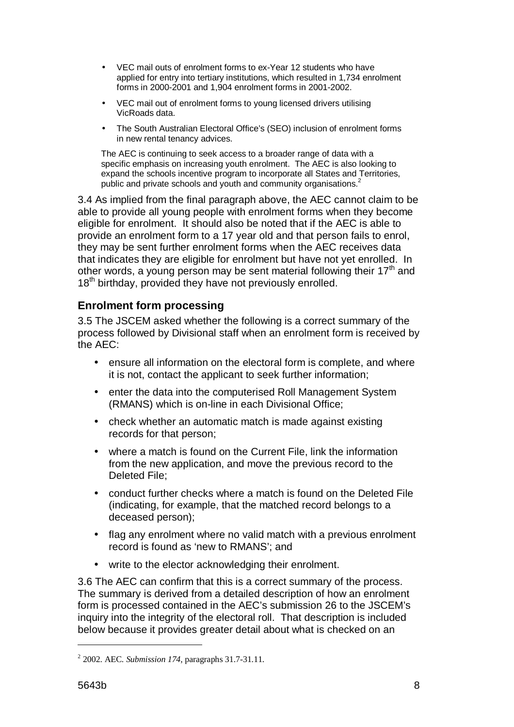- VEC mail outs of enrolment forms to ex-Year 12 students who have applied for entry into tertiary institutions, which resulted in 1,734 enrolment forms in 2000-2001 and 1,904 enrolment forms in 2001-2002.
- VEC mail out of enrolment forms to young licensed drivers utilising VicRoads data.
- The South Australian Electoral Office's (SEO) inclusion of enrolment forms in new rental tenancy advices.

The AEC is continuing to seek access to a broader range of data with a specific emphasis on increasing youth enrolment. The AEC is also looking to expand the schools incentive program to incorporate all States and Territories, public and private schools and youth and community organisations.<sup>2</sup>

3.4 As implied from the final paragraph above, the AEC cannot claim to be able to provide all young people with enrolment forms when they become eligible for enrolment. It should also be noted that if the AEC is able to provide an enrolment form to a 17 year old and that person fails to enrol, they may be sent further enrolment forms when the AEC receives data that indicates they are eligible for enrolment but have not yet enrolled. In other words, a young person may be sent material following their  $17<sup>th</sup>$  and 18<sup>th</sup> birthday, provided they have not previously enrolled.

### **Enrolment form processing**

3.5 The JSCEM asked whether the following is a correct summary of the process followed by Divisional staff when an enrolment form is received by the AEC:

- ensure all information on the electoral form is complete, and where it is not, contact the applicant to seek further information;
- enter the data into the computerised Roll Management System (RMANS) which is on-line in each Divisional Office;
- check whether an automatic match is made against existing records for that person;
- where a match is found on the Current File, link the information from the new application, and move the previous record to the Deleted File:
- conduct further checks where a match is found on the Deleted File (indicating, for example, that the matched record belongs to a deceased person);
- flag any enrolment where no valid match with a previous enrolment record is found as 'new to RMANS'; and
- write to the elector acknowledging their enrolment.

3.6 The AEC can confirm that this is a correct summary of the process. The summary is derived from a detailed description of how an enrolment form is processed contained in the AEC's submission 26 to the JSCEM's inquiry into the integrity of the electoral roll. That description is included below because it provides greater detail about what is checked on an

<sup>2</sup> 2002. AEC. *Submission 174*, paragraphs 31.7-31.11.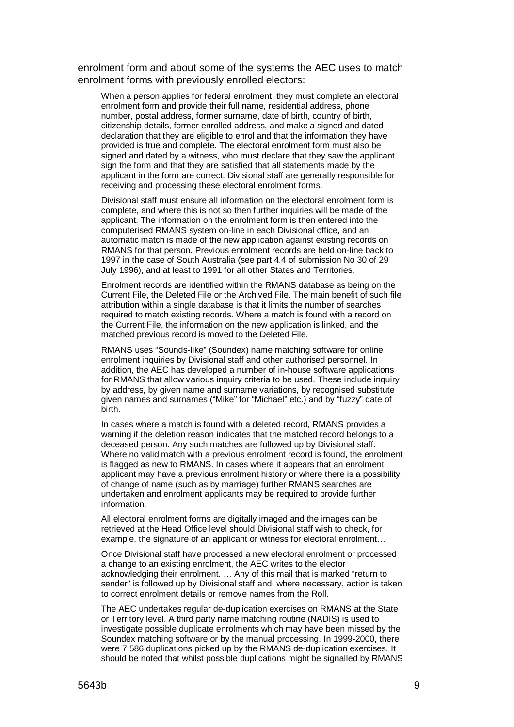enrolment form and about some of the systems the AEC uses to match enrolment forms with previously enrolled electors:

When a person applies for federal enrolment, they must complete an electoral enrolment form and provide their full name, residential address, phone number, postal address, former surname, date of birth, country of birth, citizenship details, former enrolled address, and make a signed and dated declaration that they are eligible to enrol and that the information they have provided is true and complete. The electoral enrolment form must also be signed and dated by a witness, who must declare that they saw the applicant sign the form and that they are satisfied that all statements made by the applicant in the form are correct. Divisional staff are generally responsible for receiving and processing these electoral enrolment forms.

Divisional staff must ensure all information on the electoral enrolment form is complete, and where this is not so then further inquiries will be made of the applicant. The information on the enrolment form is then entered into the computerised RMANS system on-line in each Divisional office, and an automatic match is made of the new application against existing records on RMANS for that person. Previous enrolment records are held on-line back to 1997 in the case of South Australia (see part 4.4 of submission No 30 of 29 July 1996), and at least to 1991 for all other States and Territories.

Enrolment records are identified within the RMANS database as being on the Current File, the Deleted File or the Archived File. The main benefit of such file attribution within a single database is that it limits the number of searches required to match existing records. Where a match is found with a record on the Current File, the information on the new application is linked, and the matched previous record is moved to the Deleted File.

RMANS uses "Sounds-like" (Soundex) name matching software for online enrolment inquiries by Divisional staff and other authorised personnel. In addition, the AEC has developed a number of in-house software applications for RMANS that allow various inquiry criteria to be used. These include inquiry by address, by given name and surname variations, by recognised substitute given names and surnames ("Mike" for "Michael" etc.) and by "fuzzy" date of birth.

In cases where a match is found with a deleted record, RMANS provides a warning if the deletion reason indicates that the matched record belongs to a deceased person. Any such matches are followed up by Divisional staff. Where no valid match with a previous enrolment record is found, the enrolment is flagged as new to RMANS. In cases where it appears that an enrolment applicant may have a previous enrolment history or where there is a possibility of change of name (such as by marriage) further RMANS searches are undertaken and enrolment applicants may be required to provide further information.

All electoral enrolment forms are digitally imaged and the images can be retrieved at the Head Office level should Divisional staff wish to check, for example, the signature of an applicant or witness for electoral enrolment…

Once Divisional staff have processed a new electoral enrolment or processed a change to an existing enrolment, the AEC writes to the elector acknowledging their enrolment. … Any of this mail that is marked "return to sender" is followed up by Divisional staff and, where necessary, action is taken to correct enrolment details or remove names from the Roll.

The AEC undertakes regular de-duplication exercises on RMANS at the State or Territory level. A third party name matching routine (NADIS) is used to investigate possible duplicate enrolments which may have been missed by the Soundex matching software or by the manual processing. In 1999-2000, there were 7,586 duplications picked up by the RMANS de-duplication exercises. It should be noted that whilst possible duplications might be signalled by RMANS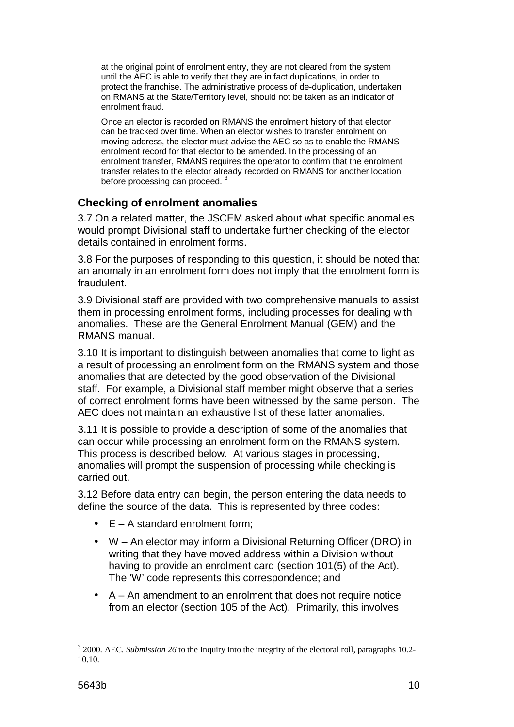at the original point of enrolment entry, they are not cleared from the system until the AEC is able to verify that they are in fact duplications, in order to protect the franchise. The administrative process of de-duplication, undertaken on RMANS at the State/Territory level, should not be taken as an indicator of enrolment fraud.

Once an elector is recorded on RMANS the enrolment history of that elector can be tracked over time. When an elector wishes to transfer enrolment on moving address, the elector must advise the AEC so as to enable the RMANS enrolment record for that elector to be amended. In the processing of an enrolment transfer, RMANS requires the operator to confirm that the enrolment transfer relates to the elector already recorded on RMANS for another location before processing can proceed.<sup>3</sup>

### **Checking of enrolment anomalies**

3.7 On a related matter, the JSCEM asked about what specific anomalies would prompt Divisional staff to undertake further checking of the elector details contained in enrolment forms.

3.8 For the purposes of responding to this question, it should be noted that an anomaly in an enrolment form does not imply that the enrolment form is fraudulent.

3.9 Divisional staff are provided with two comprehensive manuals to assist them in processing enrolment forms, including processes for dealing with anomalies. These are the General Enrolment Manual (GEM) and the RMANS manual.

3.10 It is important to distinguish between anomalies that come to light as a result of processing an enrolment form on the RMANS system and those anomalies that are detected by the good observation of the Divisional staff. For example, a Divisional staff member might observe that a series of correct enrolment forms have been witnessed by the same person. The AEC does not maintain an exhaustive list of these latter anomalies.

3.11 It is possible to provide a description of some of the anomalies that can occur while processing an enrolment form on the RMANS system. This process is described below. At various stages in processing, anomalies will prompt the suspension of processing while checking is carried out.

3.12 Before data entry can begin, the person entering the data needs to define the source of the data. This is represented by three codes:

- $E A$  standard enrolment form;
- W An elector may inform a Divisional Returning Officer (DRO) in writing that they have moved address within a Division without having to provide an enrolment card (section 101(5) of the Act). The 'W' code represents this correspondence; and
- $\bullet$  A An amendment to an enrolment that does not require notice from an elector (section 105 of the Act). Primarily, this involves

<sup>&</sup>lt;sup>3</sup> 2000. AEC. *Submission 26* to the Inquiry into the integrity of the electoral roll, paragraphs 10.2-10.10.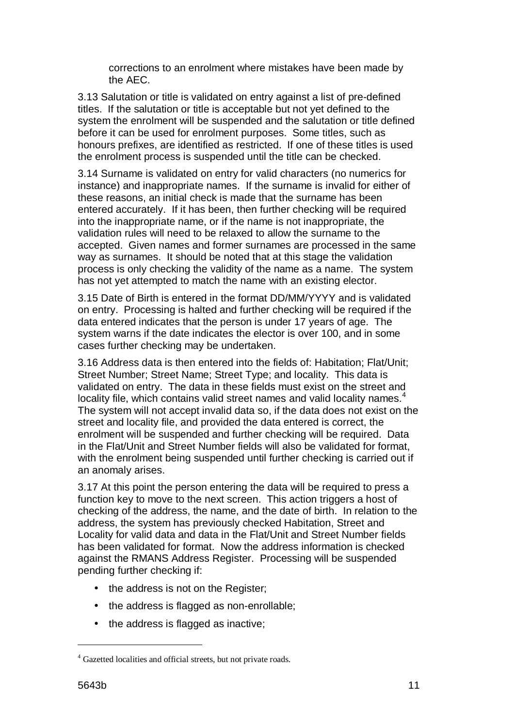corrections to an enrolment where mistakes have been made by the AEC.

3.13 Salutation or title is validated on entry against a list of pre-defined titles. If the salutation or title is acceptable but not yet defined to the system the enrolment will be suspended and the salutation or title defined before it can be used for enrolment purposes. Some titles, such as honours prefixes, are identified as restricted. If one of these titles is used the enrolment process is suspended until the title can be checked.

3.14 Surname is validated on entry for valid characters (no numerics for instance) and inappropriate names. If the surname is invalid for either of these reasons, an initial check is made that the surname has been entered accurately. If it has been, then further checking will be required into the inappropriate name, or if the name is not inappropriate, the validation rules will need to be relaxed to allow the surname to the accepted. Given names and former surnames are processed in the same way as surnames. It should be noted that at this stage the validation process is only checking the validity of the name as a name. The system has not yet attempted to match the name with an existing elector.

3.15 Date of Birth is entered in the format DD/MM/YYYY and is validated on entry. Processing is halted and further checking will be required if the data entered indicates that the person is under 17 years of age. The system warns if the date indicates the elector is over 100, and in some cases further checking may be undertaken.

3.16 Address data is then entered into the fields of: Habitation; Flat/Unit; Street Number; Street Name; Street Type; and locality. This data is validated on entry. The data in these fields must exist on the street and locality file, which contains valid street names and valid locality names. $4$ The system will not accept invalid data so, if the data does not exist on the street and locality file, and provided the data entered is correct, the enrolment will be suspended and further checking will be required. Data in the Flat/Unit and Street Number fields will also be validated for format, with the enrolment being suspended until further checking is carried out if an anomaly arises.

3.17 At this point the person entering the data will be required to press a function key to move to the next screen. This action triggers a host of checking of the address, the name, and the date of birth. In relation to the address, the system has previously checked Habitation, Street and Locality for valid data and data in the Flat/Unit and Street Number fields has been validated for format. Now the address information is checked against the RMANS Address Register. Processing will be suspended pending further checking if:

- the address is not on the Register;
- the address is flagged as non-enrollable;
- the address is flagged as inactive;

<sup>&</sup>lt;sup>4</sup> Gazetted localities and official streets, but not private roads.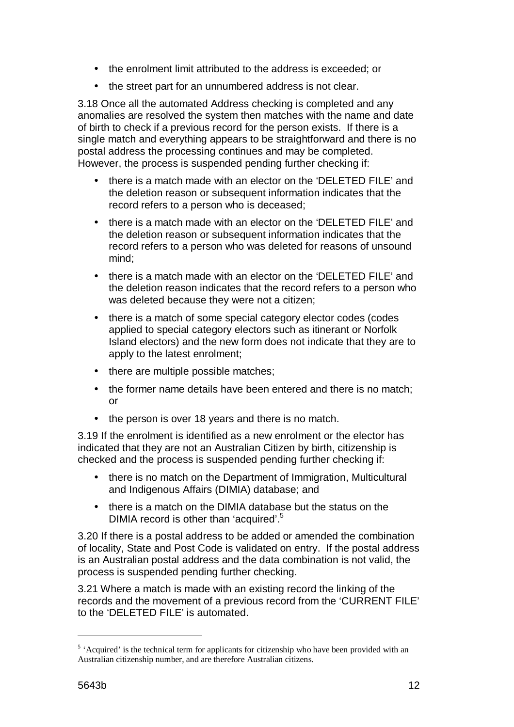- the enrolment limit attributed to the address is exceeded; or
- the street part for an unnumbered address is not clear.

3.18 Once all the automated Address checking is completed and any anomalies are resolved the system then matches with the name and date of birth to check if a previous record for the person exists. If there is a single match and everything appears to be straightforward and there is no postal address the processing continues and may be completed. However, the process is suspended pending further checking if:

- there is a match made with an elector on the 'DELETED FILE' and the deletion reason or subsequent information indicates that the record refers to a person who is deceased;
- there is a match made with an elector on the 'DELETED FILE' and the deletion reason or subsequent information indicates that the record refers to a person who was deleted for reasons of unsound mind;
- there is a match made with an elector on the 'DELETED FILE' and the deletion reason indicates that the record refers to a person who was deleted because they were not a citizen;
- there is a match of some special category elector codes (codes applied to special category electors such as itinerant or Norfolk Island electors) and the new form does not indicate that they are to apply to the latest enrolment;
- there are multiple possible matches;
- the former name details have been entered and there is no match; or
- the person is over 18 years and there is no match.

3.19 If the enrolment is identified as a new enrolment or the elector has indicated that they are not an Australian Citizen by birth, citizenship is checked and the process is suspended pending further checking if:

- there is no match on the Department of Immigration, Multicultural and Indigenous Affairs (DIMIA) database; and
- there is a match on the DIMIA database but the status on the DIMIA record is other than 'acquired'.<sup>5</sup>

3.20 If there is a postal address to be added or amended the combination of locality, State and Post Code is validated on entry. If the postal address is an Australian postal address and the data combination is not valid, the process is suspended pending further checking.

3.21 Where a match is made with an existing record the linking of the records and the movement of a previous record from the 'CURRENT FILE' to the 'DELETED FILE' is automated.

<sup>&</sup>lt;sup>5</sup> 'Acquired' is the technical term for applicants for citizenship who have been provided with an Australian citizenship number, and are therefore Australian citizens.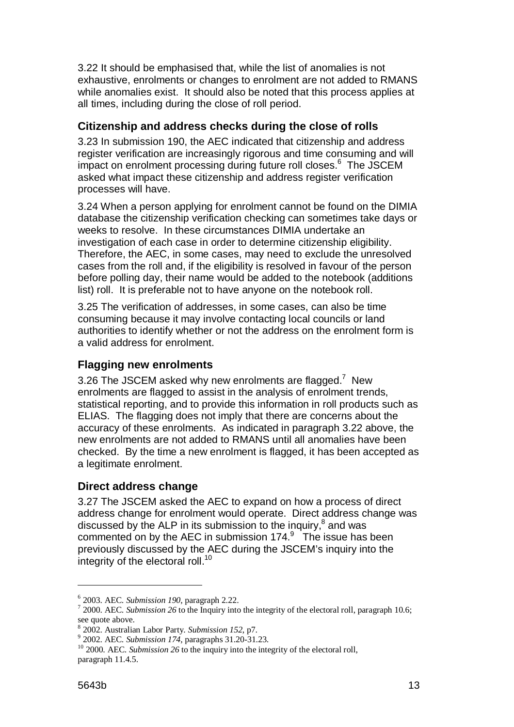3.22 It should be emphasised that, while the list of anomalies is not exhaustive, enrolments or changes to enrolment are not added to RMANS while anomalies exist. It should also be noted that this process applies at all times, including during the close of roll period.

### **Citizenship and address checks during the close of rolls**

3.23 In submission 190, the AEC indicated that citizenship and address register verification are increasingly rigorous and time consuming and will impact on enrolment processing during future roll closes.<sup>6</sup> The JSCEM asked what impact these citizenship and address register verification processes will have.

3.24 When a person applying for enrolment cannot be found on the DIMIA database the citizenship verification checking can sometimes take days or weeks to resolve. In these circumstances DIMIA undertake an investigation of each case in order to determine citizenship eligibility. Therefore, the AEC, in some cases, may need to exclude the unresolved cases from the roll and, if the eligibility is resolved in favour of the person before polling day, their name would be added to the notebook (additions list) roll. It is preferable not to have anyone on the notebook roll.

3.25 The verification of addresses, in some cases, can also be time consuming because it may involve contacting local councils or land authorities to identify whether or not the address on the enrolment form is a valid address for enrolment.

#### **Flagging new enrolments**

3.26 The JSCEM asked why new enrolments are flagged.<sup>7</sup> New enrolments are flagged to assist in the analysis of enrolment trends, statistical reporting, and to provide this information in roll products such as ELIAS. The flagging does not imply that there are concerns about the accuracy of these enrolments. As indicated in paragraph 3.22 above, the new enrolments are not added to RMANS until all anomalies have been checked. By the time a new enrolment is flagged, it has been accepted as a legitimate enrolment.

#### **Direct address change**

3.27 The JSCEM asked the AEC to expand on how a process of direct address change for enrolment would operate. Direct address change was discussed by the ALP in its submission to the inquiry, $^8$  and was commented on by the AEC in submission  $174.9$  The issue has been previously discussed by the AEC during the JSCEM's inquiry into the integrity of the electoral roll.<sup>10</sup>

 $^6$  2003. AEC. *Submission 190*, paragraph 2.22.

 <sup>2000.</sup> AEC. *Submission 26* to the Inquiry into the integrity of the electoral roll, paragraph 10.6; see quote above.

<sup>&</sup>lt;sup>8</sup> 2002. Australian Labor Party. *Submission 152*, p7.<br><sup>9</sup> 2002. AEC. *Submission 174*, pergeraphs 31.20.31.

<sup>&</sup>lt;sup>9</sup> 2002. AEC. *Submission 174*, paragraphs 31.20-31.23.<br><sup>10</sup> 2000. AEC. *Submission 26* to the inquiry into the integrity of the electoral roll, paragraph 11.4.5.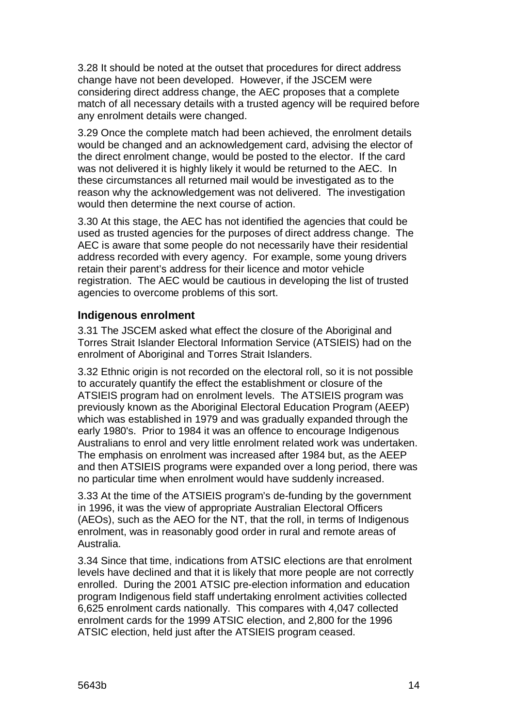3.28 It should be noted at the outset that procedures for direct address change have not been developed. However, if the JSCEM were considering direct address change, the AEC proposes that a complete match of all necessary details with a trusted agency will be required before any enrolment details were changed.

3.29 Once the complete match had been achieved, the enrolment details would be changed and an acknowledgement card, advising the elector of the direct enrolment change, would be posted to the elector. If the card was not delivered it is highly likely it would be returned to the AEC. In these circumstances all returned mail would be investigated as to the reason why the acknowledgement was not delivered. The investigation would then determine the next course of action.

3.30 At this stage, the AEC has not identified the agencies that could be used as trusted agencies for the purposes of direct address change. The AEC is aware that some people do not necessarily have their residential address recorded with every agency. For example, some young drivers retain their parent's address for their licence and motor vehicle registration. The AEC would be cautious in developing the list of trusted agencies to overcome problems of this sort.

#### **Indigenous enrolment**

3.31 The JSCEM asked what effect the closure of the Aboriginal and Torres Strait Islander Electoral Information Service (ATSIEIS) had on the enrolment of Aboriginal and Torres Strait Islanders.

3.32 Ethnic origin is not recorded on the electoral roll, so it is not possible to accurately quantify the effect the establishment or closure of the ATSIEIS program had on enrolment levels. The ATSIEIS program was previously known as the Aboriginal Electoral Education Program (AEEP) which was established in 1979 and was gradually expanded through the early 1980's. Prior to 1984 it was an offence to encourage Indigenous Australians to enrol and very little enrolment related work was undertaken. The emphasis on enrolment was increased after 1984 but, as the AEEP and then ATSIEIS programs were expanded over a long period, there was no particular time when enrolment would have suddenly increased.

3.33 At the time of the ATSIEIS program's de-funding by the government in 1996, it was the view of appropriate Australian Electoral Officers (AEOs), such as the AEO for the NT, that the roll, in terms of Indigenous enrolment, was in reasonably good order in rural and remote areas of Australia.

3.34 Since that time, indications from ATSIC elections are that enrolment levels have declined and that it is likely that more people are not correctly enrolled. During the 2001 ATSIC pre-election information and education program Indigenous field staff undertaking enrolment activities collected 6,625 enrolment cards nationally. This compares with 4,047 collected enrolment cards for the 1999 ATSIC election, and 2,800 for the 1996 ATSIC election, held just after the ATSIEIS program ceased.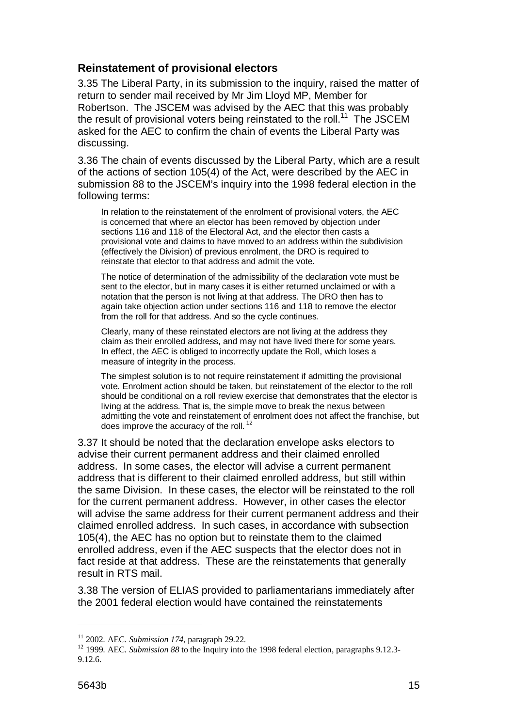#### **Reinstatement of provisional electors**

3.35 The Liberal Party, in its submission to the inquiry, raised the matter of return to sender mail received by Mr Jim Lloyd MP, Member for Robertson. The JSCEM was advised by the AEC that this was probably the result of provisional voters being reinstated to the roll.<sup>11</sup> The JSCEM asked for the AEC to confirm the chain of events the Liberal Party was discussing.

3.36 The chain of events discussed by the Liberal Party, which are a result of the actions of section 105(4) of the Act, were described by the AEC in submission 88 to the JSCEM's inquiry into the 1998 federal election in the following terms:

In relation to the reinstatement of the enrolment of provisional voters, the AEC is concerned that where an elector has been removed by objection under sections 116 and 118 of the Electoral Act, and the elector then casts a provisional vote and claims to have moved to an address within the subdivision (effectively the Division) of previous enrolment, the DRO is required to reinstate that elector to that address and admit the vote.

The notice of determination of the admissibility of the declaration vote must be sent to the elector, but in many cases it is either returned unclaimed or with a notation that the person is not living at that address. The DRO then has to again take objection action under sections 116 and 118 to remove the elector from the roll for that address. And so the cycle continues.

Clearly, many of these reinstated electors are not living at the address they claim as their enrolled address, and may not have lived there for some years. In effect, the AEC is obliged to incorrectly update the Roll, which loses a measure of integrity in the process.

The simplest solution is to not require reinstatement if admitting the provisional vote. Enrolment action should be taken, but reinstatement of the elector to the roll should be conditional on a roll review exercise that demonstrates that the elector is living at the address. That is, the simple move to break the nexus between admitting the vote and reinstatement of enrolment does not affect the franchise, but does improve the accuracy of the roll.<sup>12</sup>

3.37 It should be noted that the declaration envelope asks electors to advise their current permanent address and their claimed enrolled address. In some cases, the elector will advise a current permanent address that is different to their claimed enrolled address, but still within the same Division. In these cases, the elector will be reinstated to the roll for the current permanent address. However, in other cases the elector will advise the same address for their current permanent address and their claimed enrolled address. In such cases, in accordance with subsection 105(4), the AEC has no option but to reinstate them to the claimed enrolled address, even if the AEC suspects that the elector does not in fact reside at that address. These are the reinstatements that generally result in RTS mail.

3.38 The version of ELIAS provided to parliamentarians immediately after the 2001 federal election would have contained the reinstatements

<sup>&</sup>lt;sup>11</sup> 2002. AEC. *Submission 174*, paragraph 29.22.<br><sup>12</sup> 1999. AEC. *Submission 88* to the Inquiry into the 1998 federal election, paragraphs 9.12.3-9.12.6.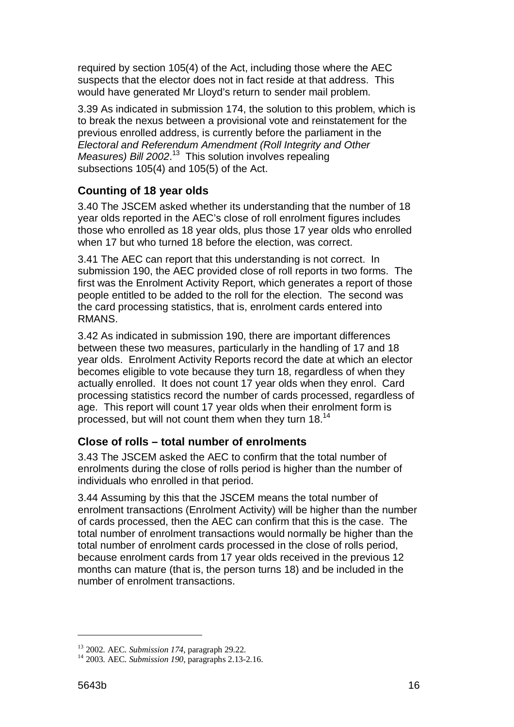required by section 105(4) of the Act, including those where the AEC suspects that the elector does not in fact reside at that address. This would have generated Mr Lloyd's return to sender mail problem.

3.39 As indicated in submission 174, the solution to this problem, which is to break the nexus between a provisional vote and reinstatement for the previous enrolled address, is currently before the parliament in the Electoral and Referendum Amendment (Roll Integrity and Other Measures) Bill 2002.<sup>13</sup> This solution involves repealing subsections 105(4) and 105(5) of the Act.

## **Counting of 18 year olds**

3.40 The JSCEM asked whether its understanding that the number of 18 year olds reported in the AEC's close of roll enrolment figures includes those who enrolled as 18 year olds, plus those 17 year olds who enrolled when 17 but who turned 18 before the election, was correct.

3.41 The AEC can report that this understanding is not correct. In submission 190, the AEC provided close of roll reports in two forms. The first was the Enrolment Activity Report, which generates a report of those people entitled to be added to the roll for the election. The second was the card processing statistics, that is, enrolment cards entered into RMANS.

3.42 As indicated in submission 190, there are important differences between these two measures, particularly in the handling of 17 and 18 year olds. Enrolment Activity Reports record the date at which an elector becomes eligible to vote because they turn 18, regardless of when they actually enrolled. It does not count 17 year olds when they enrol. Card processing statistics record the number of cards processed, regardless of age. This report will count 17 year olds when their enrolment form is processed, but will not count them when they turn 18.14

## **Close of rolls – total number of enrolments**

3.43 The JSCEM asked the AEC to confirm that the total number of enrolments during the close of rolls period is higher than the number of individuals who enrolled in that period.

3.44 Assuming by this that the JSCEM means the total number of enrolment transactions (Enrolment Activity) will be higher than the number of cards processed, then the AEC can confirm that this is the case. The total number of enrolment transactions would normally be higher than the total number of enrolment cards processed in the close of rolls period, because enrolment cards from 17 year olds received in the previous 12 months can mature (that is, the person turns 18) and be included in the number of enrolment transactions.

<sup>&</sup>lt;sup>13</sup> 2002. AEC. *Submission 174*, paragraph 29.22.<br><sup>14</sup> 2003. AEC. *Submission 190*, paragraphs 2.13-2.16.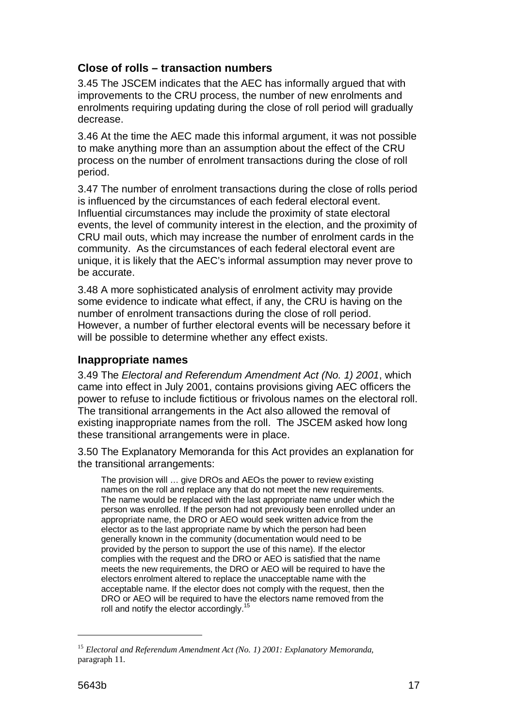### **Close of rolls – transaction numbers**

3.45 The JSCEM indicates that the AEC has informally argued that with improvements to the CRU process, the number of new enrolments and enrolments requiring updating during the close of roll period will gradually decrease.

3.46 At the time the AEC made this informal argument, it was not possible to make anything more than an assumption about the effect of the CRU process on the number of enrolment transactions during the close of roll period.

3.47 The number of enrolment transactions during the close of rolls period is influenced by the circumstances of each federal electoral event. Influential circumstances may include the proximity of state electoral events, the level of community interest in the election, and the proximity of CRU mail outs, which may increase the number of enrolment cards in the community. As the circumstances of each federal electoral event are unique, it is likely that the AEC's informal assumption may never prove to be accurate.

3.48 A more sophisticated analysis of enrolment activity may provide some evidence to indicate what effect, if any, the CRU is having on the number of enrolment transactions during the close of roll period. However, a number of further electoral events will be necessary before it will be possible to determine whether any effect exists.

#### **Inappropriate names**

3.49 The Electoral and Referendum Amendment Act (No. 1) 2001, which came into effect in July 2001, contains provisions giving AEC officers the power to refuse to include fictitious or frivolous names on the electoral roll. The transitional arrangements in the Act also allowed the removal of existing inappropriate names from the roll. The JSCEM asked how long these transitional arrangements were in place.

3.50 The Explanatory Memoranda for this Act provides an explanation for the transitional arrangements:

The provision will … give DROs and AEOs the power to review existing names on the roll and replace any that do not meet the new requirements. The name would be replaced with the last appropriate name under which the person was enrolled. If the person had not previously been enrolled under an appropriate name, the DRO or AEO would seek written advice from the elector as to the last appropriate name by which the person had been generally known in the community (documentation would need to be provided by the person to support the use of this name). If the elector complies with the request and the DRO or AEO is satisfied that the name meets the new requirements, the DRO or AEO will be required to have the electors enrolment altered to replace the unacceptable name with the acceptable name. If the elector does not comply with the request, then the DRO or AEO will be required to have the electors name removed from the roll and notify the elector accordingly.<sup>1</sup>

<sup>&</sup>lt;sup>15</sup> Electoral and Referendum Amendment Act (No. 1) 2001: Explanatory Memoranda, paragraph 11.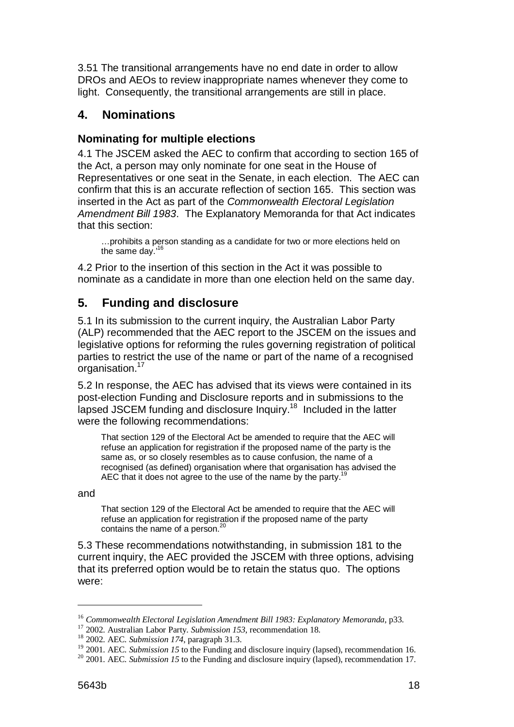3.51 The transitional arrangements have no end date in order to allow DROs and AEOs to review inappropriate names whenever they come to light. Consequently, the transitional arrangements are still in place.

## **4. Nominations**

### **Nominating for multiple elections**

4.1 The JSCEM asked the AEC to confirm that according to section 165 of the Act, a person may only nominate for one seat in the House of Representatives or one seat in the Senate, in each election. The AEC can confirm that this is an accurate reflection of section 165. This section was inserted in the Act as part of the Commonwealth Electoral Legislation Amendment Bill 1983. The Explanatory Memoranda for that Act indicates that this section:

…prohibits a person standing as a candidate for two or more elections held on the same day.'16

4.2 Prior to the insertion of this section in the Act it was possible to nominate as a candidate in more than one election held on the same day.

# **5. Funding and disclosure**

5.1 In its submission to the current inquiry, the Australian Labor Party (ALP) recommended that the AEC report to the JSCEM on the issues and legislative options for reforming the rules governing registration of political parties to restrict the use of the name or part of the name of a recognised organisation.<sup>17</sup>

5.2 In response, the AEC has advised that its views were contained in its post-election Funding and Disclosure reports and in submissions to the lapsed JSCEM funding and disclosure Inquiry.18 Included in the latter were the following recommendations:

That section 129 of the Electoral Act be amended to require that the AEC will refuse an application for registration if the proposed name of the party is the same as, or so closely resembles as to cause confusion, the name of a recognised (as defined) organisation where that organisation has advised the AEC that it does not agree to the use of the name by the party.<sup>19</sup>

and

 $\overline{a}$ 

That section 129 of the Electoral Act be amended to require that the AEC will refuse an application for registration if the proposed name of the party contains the name of a person. $^{20}$ 

5.3 These recommendations notwithstanding, in submission 181 to the current inquiry, the AEC provided the JSCEM with three options, advising that its preferred option would be to retain the status quo. The options were:

<sup>&</sup>lt;sup>16</sup> *Commonwealth Electoral Legislation Amendment Bill 1983: Explanatory Memoranda*, p33.<br><sup>17</sup> 2002. Australian Labor Party. *Submission 153*, recommendation 18.<br><sup>18</sup> 2002. AEC. *Submission 174*, paragraph 31.3.

<sup>&</sup>lt;sup>19</sup> 2001. AEC. *Submission 15* to the Funding and disclosure inquiry (lapsed), recommendation 16.<br><sup>20</sup> 2001. AEC. *Submission 15* to the Funding and disclosure inquiry (lapsed), recommendation 17.